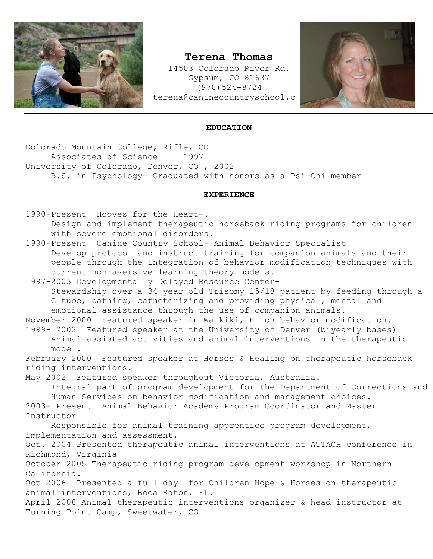

## **Terena Thomas**

14503 Colorado River Rd. Gypsum, CO 81637 (970)524-8724 terena@caninecountryschool.c



## **EDUCATION**

Colorado Mountain College, Rifle, CO Associates of Science 1997 University of Colorado, Denver, CO , 2002 B.S. in Psychology- Graduated with honors as a Psi-Chi member

## **EXPERIENCE**

1990-Present Hooves for the Heart-. Design and implement therapeutic horseback riding programs for children with severe emotional disorders.

1990-Present Canine Country School- Animal Behavior Specialist Develop protocol and instruct training for companion animals and their people through the integration of behavior modification techniques with current non-aversive learning theory models.

1997-2003 Developmentally Delayed Resource Center-Stewardship over a 34 year old Trisomy 15/18 patient by feeding through a G tube, bathing, catheterizing and providing physical, mental and emotional assistance through the use of companion animals.

November 2000 Featured speaker in Waikiki, HI on behavior modification.

1999- 2003 Featured speaker at the University of Denver (biyearly bases) Animal assisted activities and animal interventions in the therapeutic model.

February 2000 Featured speaker at Horses & Healing on therapeutic horseback riding interventions.

May 2002 Featured speaker throughout Victoria, Australia. Integral part of program development for the Department of Corrections and Human Services on behavior modification and management choices.

2003- Present Animal Behavior Academy Program Coordinator and Master Instructor

Responsible for animal training apprentice program development, implementation and assessment.

Oct. 2004 Presented therapeutic animal interventions at ATTACH conference in Richmond, Virginia

October 2005 Therapeutic riding program development workshop in Northern California.

Oct 2006 Presented a full day for Children Hope & Horses on therapeutic animal interventions, Boca Raton, FL.

April 2008 Animal therapeutic interventions organizer & head instructor at Turning Point Camp, Sweetwater, CO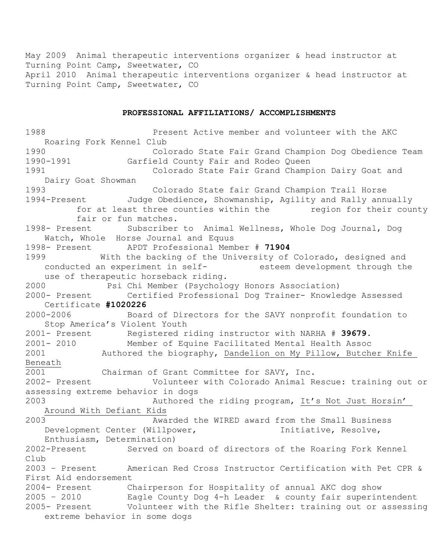May 2009 Animal therapeutic interventions organizer & head instructor at Turning Point Camp, Sweetwater, CO April 2010 Animal therapeutic interventions organizer & head instructor at Turning Point Camp, Sweetwater, CO

## **PROFESSIONAL AFFILIATIONS/ ACCOMPLISHMENTS**

1988 **Present Active member and volunteer with the AKC** Roaring Fork Kennel Club 1990 Colorado State Fair Grand Champion Dog Obedience Team 1990-1991 Garfield County Fair and Rodeo Queen 1991 Colorado State Fair Grand Champion Dairy Goat and Dairy Goat Showman 1993 Colorado State fair Grand Champion Trail Horse 1994-Present Judge Obedience, Showmanship, Agility and Rally annually for at least three counties within the merion for their county fair or fun matches. 1998- Present Subscriber to Animal Wellness, Whole Dog Journal, Dog Watch, Whole Horse Journal and Equus 1998- Present APDT Professional Member # **71904** 1999 With the backing of the University of Colorado, designed and conducted an experiment in self- esteem development through the use of therapeutic horseback riding. 2000 Psi Chi Member (Psychology Honors Association) 2000- Present Certified Professional Dog Trainer- Knowledge Assessed Certificate **#1020226** 2000-2006 Board of Directors for the SAVY nonprofit foundation to Stop America's Violent Youth 2001- Present Registered riding instructor with NARHA # **39679**. 2001- 2010 Member of Equine Facilitated Mental Health Assoc 2001 Authored the biography, Dandelion on My Pillow, Butcher Knife Beneath 2001 Chairman of Grant Committee for SAVY, Inc. 2002- Present Volunteer with Colorado Animal Rescue: training out or assessing extreme behavior in dogs 2003 Authored the riding program, It's Not Just Horsin' Around With Defiant Kids 2003 Awarded the WIRED award from the Small Business Development Center (Willpower, Initiative, Resolve, Enthusiasm, Determination) 2002-Present Served on board of directors of the Roaring Fork Kennel Club 2003 – Present American Red Cross Instructor Certification with Pet CPR & First Aid endorsement 2004- Present Chairperson for Hospitality of annual AKC dog show 2005 – 2010 Eagle County Dog 4-h Leader & county fair superintendent 2005- Present Volunteer with the Rifle Shelter: training out or assessing extreme behavior in some dogs